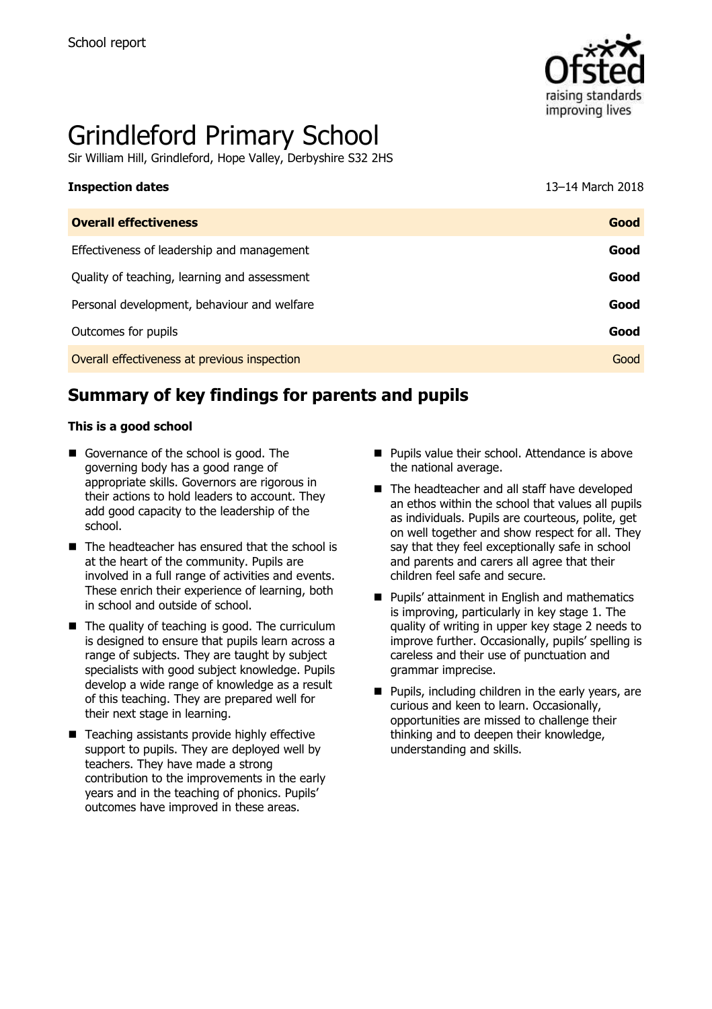

# Grindleford Primary School

Sir William Hill, Grindleford, Hope Valley, Derbyshire S32 2HS

| <b>Inspection dates</b>                      | 13-14 March 2018 |
|----------------------------------------------|------------------|
| <b>Overall effectiveness</b>                 | Good             |
| Effectiveness of leadership and management   | Good             |
| Quality of teaching, learning and assessment | Good             |
| Personal development, behaviour and welfare  | Good             |
| Outcomes for pupils                          | Good             |

**Overall effectiveness at previous inspection Good Good Contract Contract Contract Contract Cood Good** 

# **Summary of key findings for parents and pupils**

#### **This is a good school**

- Governance of the school is good. The governing body has a good range of appropriate skills. Governors are rigorous in their actions to hold leaders to account. They add good capacity to the leadership of the school.
- The headteacher has ensured that the school is at the heart of the community. Pupils are involved in a full range of activities and events. These enrich their experience of learning, both in school and outside of school.
- $\blacksquare$  The quality of teaching is good. The curriculum is designed to ensure that pupils learn across a range of subjects. They are taught by subject specialists with good subject knowledge. Pupils develop a wide range of knowledge as a result of this teaching. They are prepared well for their next stage in learning.
- Teaching assistants provide highly effective support to pupils. They are deployed well by teachers. They have made a strong contribution to the improvements in the early years and in the teaching of phonics. Pupils' outcomes have improved in these areas.
- **Pupils value their school. Attendance is above** the national average.
- The headteacher and all staff have developed an ethos within the school that values all pupils as individuals. Pupils are courteous, polite, get on well together and show respect for all. They say that they feel exceptionally safe in school and parents and carers all agree that their children feel safe and secure.
- **Pupils' attainment in English and mathematics** is improving, particularly in key stage 1. The quality of writing in upper key stage 2 needs to improve further. Occasionally, pupils' spelling is careless and their use of punctuation and grammar imprecise.
- $\blacksquare$  Pupils, including children in the early years, are curious and keen to learn. Occasionally, opportunities are missed to challenge their thinking and to deepen their knowledge, understanding and skills.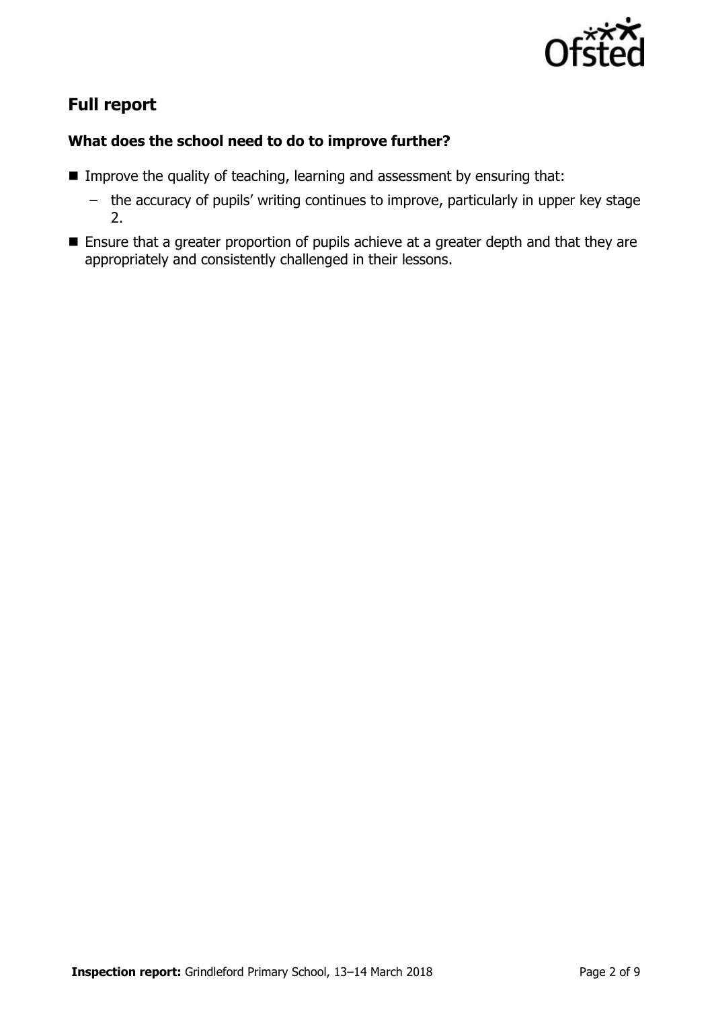

# **Full report**

## **What does the school need to do to improve further?**

- **IMPROVE the quality of teaching, learning and assessment by ensuring that:** 
	- the accuracy of pupils' writing continues to improve, particularly in upper key stage 2.
- **Ensure that a greater proportion of pupils achieve at a greater depth and that they are** appropriately and consistently challenged in their lessons.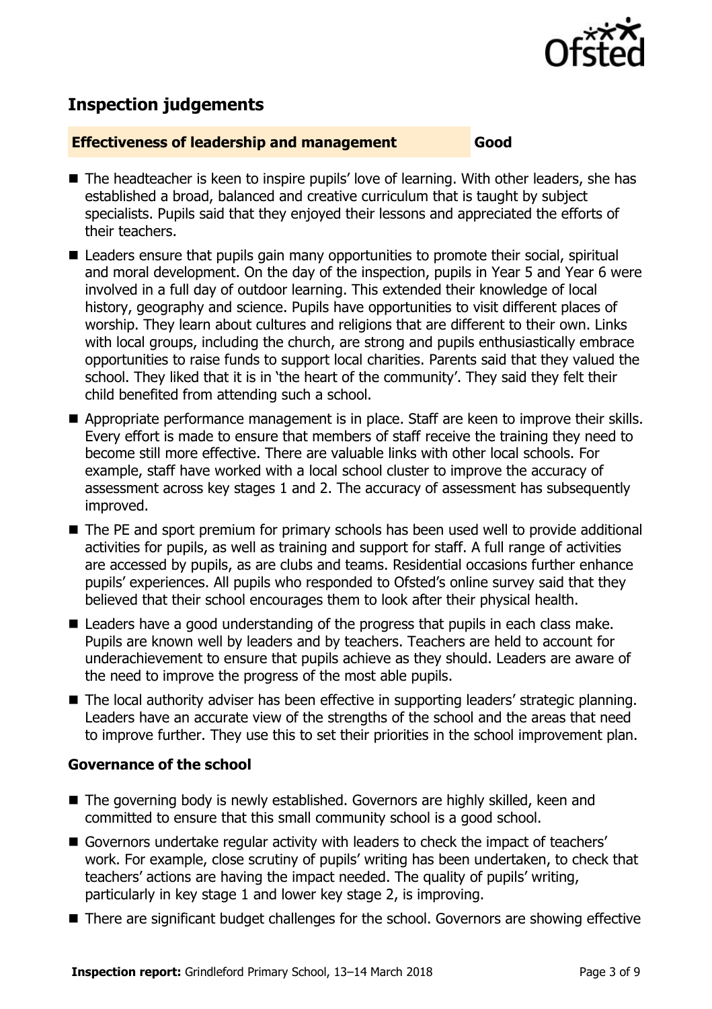

# **Inspection judgements**

#### **Effectiveness of leadership and management Good**

- The headteacher is keen to inspire pupils' love of learning. With other leaders, she has established a broad, balanced and creative curriculum that is taught by subject specialists. Pupils said that they enjoyed their lessons and appreciated the efforts of their teachers.
- Leaders ensure that pupils gain many opportunities to promote their social, spiritual and moral development. On the day of the inspection, pupils in Year 5 and Year 6 were involved in a full day of outdoor learning. This extended their knowledge of local history, geography and science. Pupils have opportunities to visit different places of worship. They learn about cultures and religions that are different to their own. Links with local groups, including the church, are strong and pupils enthusiastically embrace opportunities to raise funds to support local charities. Parents said that they valued the school. They liked that it is in 'the heart of the community'. They said they felt their child benefited from attending such a school.
- Appropriate performance management is in place. Staff are keen to improve their skills. Every effort is made to ensure that members of staff receive the training they need to become still more effective. There are valuable links with other local schools. For example, staff have worked with a local school cluster to improve the accuracy of assessment across key stages 1 and 2. The accuracy of assessment has subsequently improved.
- The PE and sport premium for primary schools has been used well to provide additional activities for pupils, as well as training and support for staff. A full range of activities are accessed by pupils, as are clubs and teams. Residential occasions further enhance pupils' experiences. All pupils who responded to Ofsted's online survey said that they believed that their school encourages them to look after their physical health.
- Leaders have a good understanding of the progress that pupils in each class make. Pupils are known well by leaders and by teachers. Teachers are held to account for underachievement to ensure that pupils achieve as they should. Leaders are aware of the need to improve the progress of the most able pupils.
- The local authority adviser has been effective in supporting leaders' strategic planning. Leaders have an accurate view of the strengths of the school and the areas that need to improve further. They use this to set their priorities in the school improvement plan.

#### **Governance of the school**

- The governing body is newly established. Governors are highly skilled, keen and committed to ensure that this small community school is a good school.
- Governors undertake regular activity with leaders to check the impact of teachers' work. For example, close scrutiny of pupils' writing has been undertaken, to check that teachers' actions are having the impact needed. The quality of pupils' writing, particularly in key stage 1 and lower key stage 2, is improving.
- There are significant budget challenges for the school. Governors are showing effective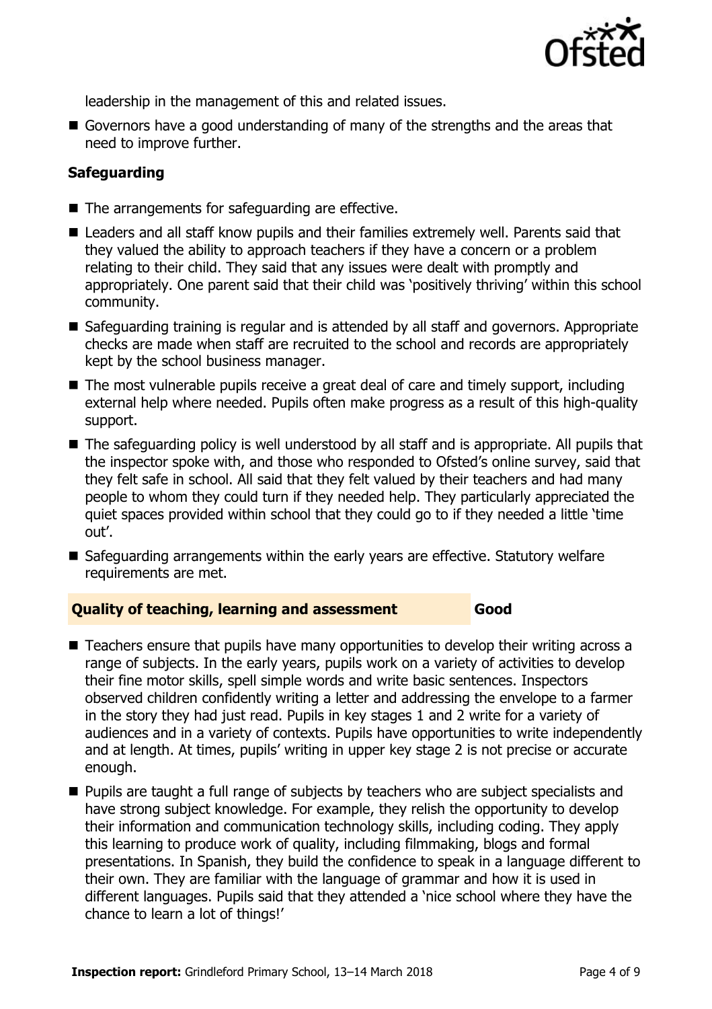

leadership in the management of this and related issues.

Governors have a good understanding of many of the strengths and the areas that need to improve further.

## **Safeguarding**

- $\blacksquare$  The arrangements for safeguarding are effective.
- Leaders and all staff know pupils and their families extremely well. Parents said that they valued the ability to approach teachers if they have a concern or a problem relating to their child. They said that any issues were dealt with promptly and appropriately. One parent said that their child was 'positively thriving' within this school community.
- Safeguarding training is regular and is attended by all staff and governors. Appropriate checks are made when staff are recruited to the school and records are appropriately kept by the school business manager.
- The most vulnerable pupils receive a great deal of care and timely support, including external help where needed. Pupils often make progress as a result of this high-quality support.
- The safeguarding policy is well understood by all staff and is appropriate. All pupils that the inspector spoke with, and those who responded to Ofsted's online survey, said that they felt safe in school. All said that they felt valued by their teachers and had many people to whom they could turn if they needed help. They particularly appreciated the quiet spaces provided within school that they could go to if they needed a little 'time out'.
- Safeguarding arrangements within the early years are effective. Statutory welfare requirements are met.

#### **Quality of teaching, learning and assessment Good**

- Teachers ensure that pupils have many opportunities to develop their writing across a range of subjects. In the early years, pupils work on a variety of activities to develop their fine motor skills, spell simple words and write basic sentences. Inspectors observed children confidently writing a letter and addressing the envelope to a farmer in the story they had just read. Pupils in key stages 1 and 2 write for a variety of audiences and in a variety of contexts. Pupils have opportunities to write independently and at length. At times, pupils' writing in upper key stage 2 is not precise or accurate enough.
- **Pupils are taught a full range of subjects by teachers who are subject specialists and** have strong subject knowledge. For example, they relish the opportunity to develop their information and communication technology skills, including coding. They apply this learning to produce work of quality, including filmmaking, blogs and formal presentations. In Spanish, they build the confidence to speak in a language different to their own. They are familiar with the language of grammar and how it is used in different languages. Pupils said that they attended a 'nice school where they have the chance to learn a lot of things!'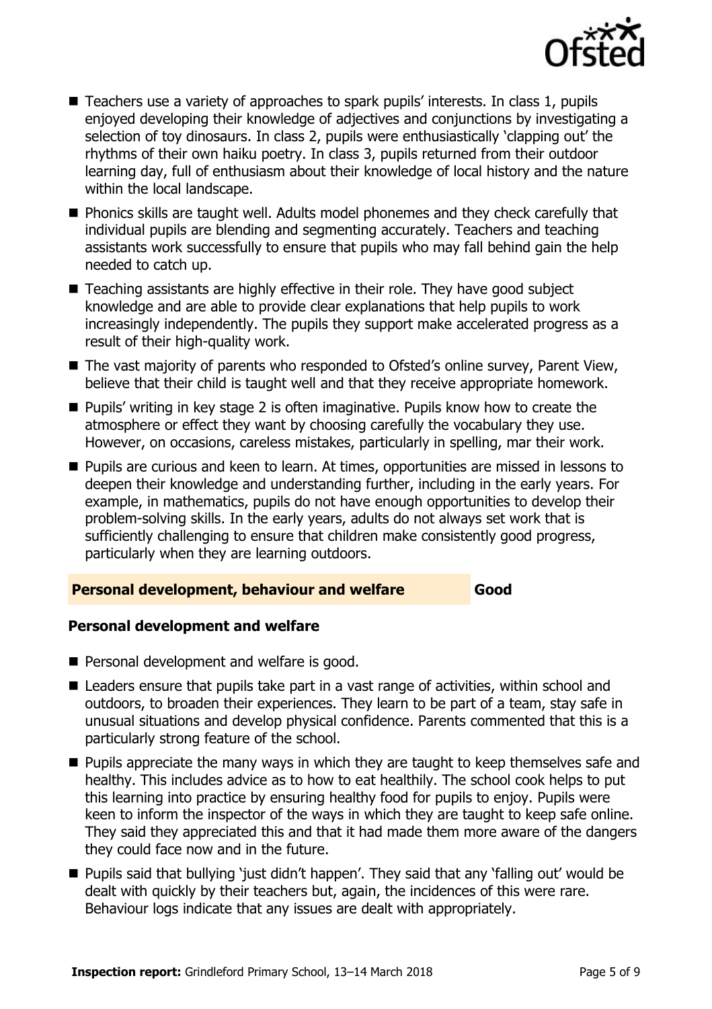

- Teachers use a variety of approaches to spark pupils' interests. In class 1, pupils enjoyed developing their knowledge of adjectives and conjunctions by investigating a selection of toy dinosaurs. In class 2, pupils were enthusiastically 'clapping out' the rhythms of their own haiku poetry. In class 3, pupils returned from their outdoor learning day, full of enthusiasm about their knowledge of local history and the nature within the local landscape.
- **Phonics skills are taught well. Adults model phonemes and they check carefully that** individual pupils are blending and segmenting accurately. Teachers and teaching assistants work successfully to ensure that pupils who may fall behind gain the help needed to catch up.
- Teaching assistants are highly effective in their role. They have good subject knowledge and are able to provide clear explanations that help pupils to work increasingly independently. The pupils they support make accelerated progress as a result of their high-quality work.
- The vast majority of parents who responded to Ofsted's online survey, Parent View, believe that their child is taught well and that they receive appropriate homework.
- Pupils' writing in key stage 2 is often imaginative. Pupils know how to create the atmosphere or effect they want by choosing carefully the vocabulary they use. However, on occasions, careless mistakes, particularly in spelling, mar their work.
- **Pupils are curious and keen to learn. At times, opportunities are missed in lessons to** deepen their knowledge and understanding further, including in the early years. For example, in mathematics, pupils do not have enough opportunities to develop their problem-solving skills. In the early years, adults do not always set work that is sufficiently challenging to ensure that children make consistently good progress, particularly when they are learning outdoors.

#### **Personal development, behaviour and welfare Good**

## **Personal development and welfare**

- **Personal development and welfare is good.**
- Leaders ensure that pupils take part in a vast range of activities, within school and outdoors, to broaden their experiences. They learn to be part of a team, stay safe in unusual situations and develop physical confidence. Parents commented that this is a particularly strong feature of the school.
- **Pupils appreciate the many ways in which they are taught to keep themselves safe and** healthy. This includes advice as to how to eat healthily. The school cook helps to put this learning into practice by ensuring healthy food for pupils to enjoy. Pupils were keen to inform the inspector of the ways in which they are taught to keep safe online. They said they appreciated this and that it had made them more aware of the dangers they could face now and in the future.
- Pupils said that bullying 'just didn't happen'. They said that any 'falling out' would be dealt with quickly by their teachers but, again, the incidences of this were rare. Behaviour logs indicate that any issues are dealt with appropriately.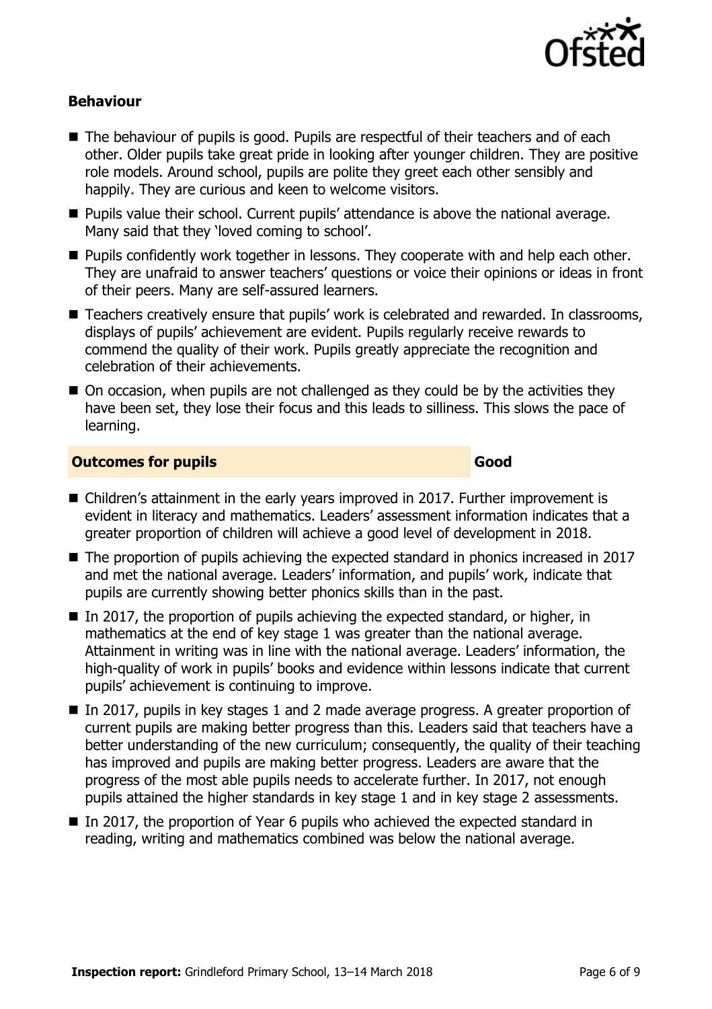

## **Behaviour**

- The behaviour of pupils is good. Pupils are respectful of their teachers and of each other. Older pupils take great pride in looking after younger children. They are positive role models. Around school, pupils are polite they greet each other sensibly and happily. They are curious and keen to welcome visitors.
- **Pupils value their school. Current pupils' attendance is above the national average.** Many said that they 'loved coming to school'.
- **Pupils confidently work together in lessons. They cooperate with and help each other.** They are unafraid to answer teachers' questions or voice their opinions or ideas in front of their peers. Many are self-assured learners.
- Teachers creatively ensure that pupils' work is celebrated and rewarded. In classrooms, displays of pupils' achievement are evident. Pupils regularly receive rewards to commend the quality of their work. Pupils greatly appreciate the recognition and celebration of their achievements.
- On occasion, when pupils are not challenged as they could be by the activities they have been set, they lose their focus and this leads to silliness. This slows the pace of learning.

#### **Outcomes for pupils Good**

- Children's attainment in the early years improved in 2017. Further improvement is evident in literacy and mathematics. Leaders' assessment information indicates that a greater proportion of children will achieve a good level of development in 2018.
- The proportion of pupils achieving the expected standard in phonics increased in 2017 and met the national average. Leaders' information, and pupils' work, indicate that pupils are currently showing better phonics skills than in the past.
- In 2017, the proportion of pupils achieving the expected standard, or higher, in mathematics at the end of key stage 1 was greater than the national average. Attainment in writing was in line with the national average. Leaders' information, the high-quality of work in pupils' books and evidence within lessons indicate that current pupils' achievement is continuing to improve.
- In 2017, pupils in key stages 1 and 2 made average progress. A greater proportion of current pupils are making better progress than this. Leaders said that teachers have a better understanding of the new curriculum; consequently, the quality of their teaching has improved and pupils are making better progress. Leaders are aware that the progress of the most able pupils needs to accelerate further. In 2017, not enough pupils attained the higher standards in key stage 1 and in key stage 2 assessments.
- In 2017, the proportion of Year 6 pupils who achieved the expected standard in reading, writing and mathematics combined was below the national average.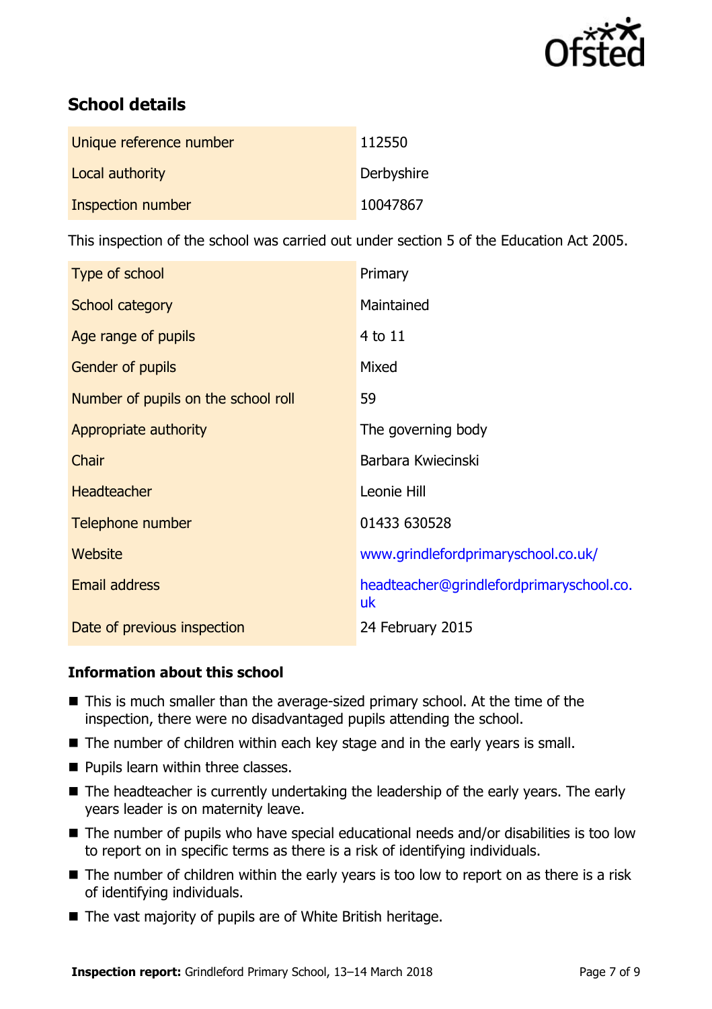

# **School details**

| Unique reference number | 112550     |
|-------------------------|------------|
| Local authority         | Derbyshire |
| Inspection number       | 10047867   |

This inspection of the school was carried out under section 5 of the Education Act 2005.

| Type of school                      | Primary                                        |
|-------------------------------------|------------------------------------------------|
| School category                     | Maintained                                     |
| Age range of pupils                 | 4 to 11                                        |
| Gender of pupils                    | Mixed                                          |
| Number of pupils on the school roll | 59                                             |
| Appropriate authority               | The governing body                             |
| Chair                               | Barbara Kwiecinski                             |
| <b>Headteacher</b>                  | Leonie Hill                                    |
| Telephone number                    | 01433 630528                                   |
| Website                             | www.grindlefordprimaryschool.co.uk/            |
| <b>Email address</b>                | headteacher@grindlefordprimaryschool.co.<br>uk |
| Date of previous inspection         | 24 February 2015                               |

## **Information about this school**

- This is much smaller than the average-sized primary school. At the time of the inspection, there were no disadvantaged pupils attending the school.
- The number of children within each key stage and in the early years is small.
- **Pupils learn within three classes.**
- The headteacher is currently undertaking the leadership of the early years. The early years leader is on maternity leave.
- The number of pupils who have special educational needs and/or disabilities is too low to report on in specific terms as there is a risk of identifying individuals.
- The number of children within the early years is too low to report on as there is a risk of identifying individuals.
- The vast majority of pupils are of White British heritage.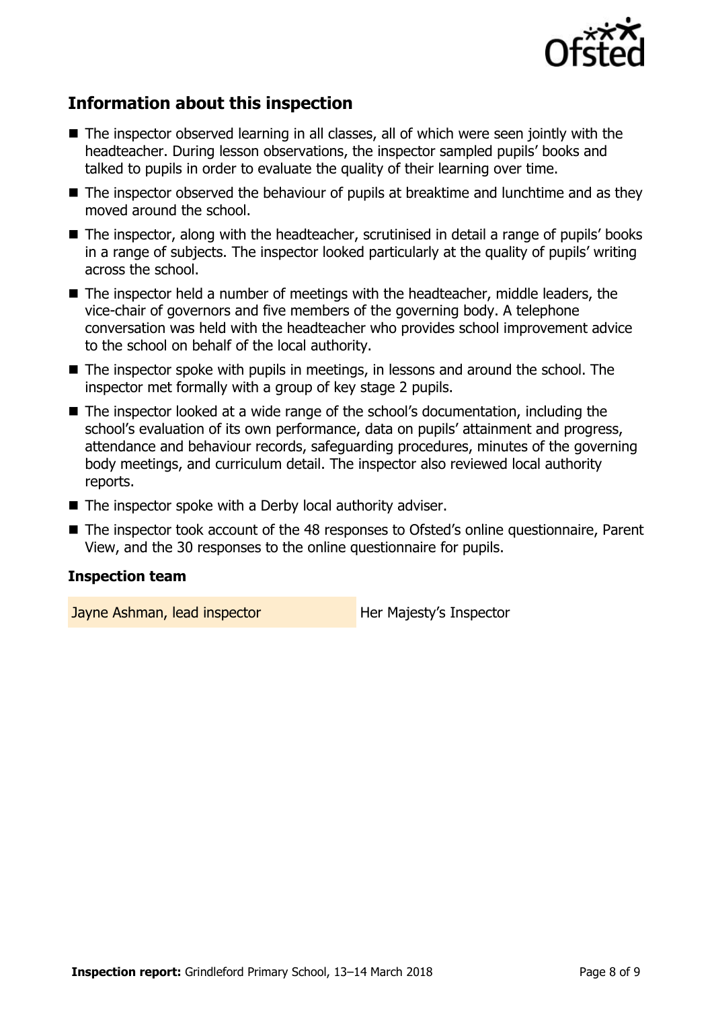

# **Information about this inspection**

- The inspector observed learning in all classes, all of which were seen jointly with the headteacher. During lesson observations, the inspector sampled pupils' books and talked to pupils in order to evaluate the quality of their learning over time.
- The inspector observed the behaviour of pupils at breaktime and lunchtime and as they moved around the school.
- The inspector, along with the headteacher, scrutinised in detail a range of pupils' books in a range of subjects. The inspector looked particularly at the quality of pupils' writing across the school.
- The inspector held a number of meetings with the headteacher, middle leaders, the vice-chair of governors and five members of the governing body. A telephone conversation was held with the headteacher who provides school improvement advice to the school on behalf of the local authority.
- The inspector spoke with pupils in meetings, in lessons and around the school. The inspector met formally with a group of key stage 2 pupils.
- The inspector looked at a wide range of the school's documentation, including the school's evaluation of its own performance, data on pupils' attainment and progress, attendance and behaviour records, safeguarding procedures, minutes of the governing body meetings, and curriculum detail. The inspector also reviewed local authority reports.
- The inspector spoke with a Derby local authority adviser.
- The inspector took account of the 48 responses to Ofsted's online questionnaire, Parent View, and the 30 responses to the online questionnaire for pupils.

## **Inspection team**

Jayne Ashman, lead inspector **Her Majesty's Inspector**